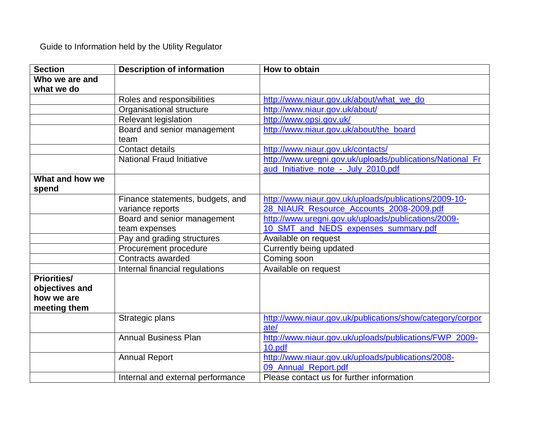Guide to Information held by the Utility Regulator

| <b>Section</b>     | <b>Description of information</b>   | How to obtain                                                     |
|--------------------|-------------------------------------|-------------------------------------------------------------------|
| Who we are and     |                                     |                                                                   |
| what we do         |                                     |                                                                   |
|                    | Roles and responsibilities          | http://www.niaur.gov.uk/about/what_we_do                          |
|                    | Organisational structure            | http://www.niaur.gov.uk/about/                                    |
|                    | Relevant legislation                | http://www.opsi.gov.uk/                                           |
|                    | Board and senior management<br>team | http://www.niaur.gov.uk/about/the_board                           |
|                    | Contact details                     | http://www.niaur.gov.uk/contacts/                                 |
|                    | <b>National Fraud Initiative</b>    | http://www.uregni.gov.uk/uploads/publications/National_Fr         |
|                    |                                     | aud_Initiative_note_-_July_2010.pdf                               |
| What and how we    |                                     |                                                                   |
| spend              |                                     |                                                                   |
|                    | Finance statements, budgets, and    | http://www.niaur.gov.uk/uploads/publications/2009-10-             |
|                    | variance reports                    | 28 NIAUR Resource Accounts 2008-2009.pdf                          |
|                    | Board and senior management         | http://www.uregni.gov.uk/uploads/publications/2009-               |
|                    | team expenses                       | 10_SMT_and_NEDS_expenses_summary.pdf                              |
|                    | Pay and grading structures          | Available on request                                              |
|                    | Procurement procedure               | Currently being updated                                           |
|                    | Contracts awarded                   | Coming soon                                                       |
|                    | Internal financial regulations      | Available on request                                              |
| <b>Priorities/</b> |                                     |                                                                   |
| objectives and     |                                     |                                                                   |
| how we are         |                                     |                                                                   |
| meeting them       |                                     |                                                                   |
|                    | Strategic plans                     | http://www.niaur.gov.uk/publications/show/category/corpor<br>ate/ |
|                    | <b>Annual Business Plan</b>         | http://www.niaur.gov.uk/uploads/publications/FWP_2009-            |
|                    |                                     | 10.pdf                                                            |
|                    | <b>Annual Report</b>                | http://www.niaur.gov.uk/uploads/publications/2008-                |
|                    |                                     | 09 Annual Report.pdf                                              |
|                    |                                     | Please contact us for further information                         |
|                    | Internal and external performance   |                                                                   |